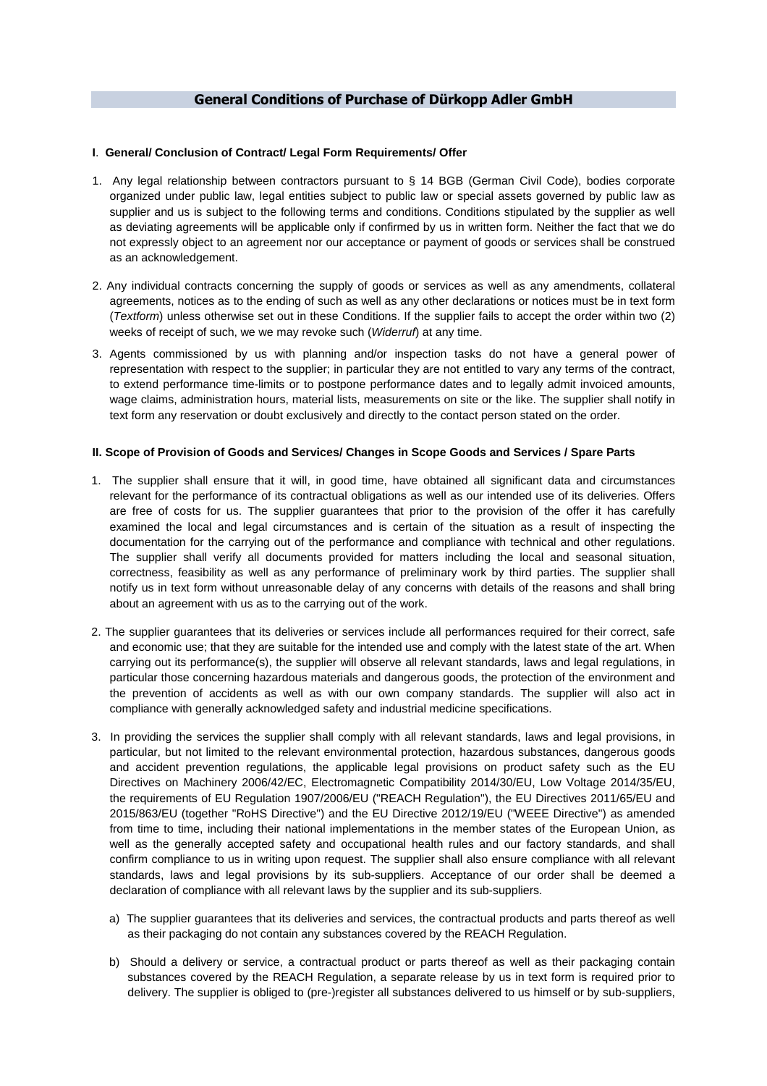# **General Conditions of Purchase of Dürkopp Adler GmbH**

### **I**. **General/ Conclusion of Contract/ Legal Form Requirements/ Offer**

- 1. Any legal relationship between contractors pursuant to § 14 BGB (German Civil Code), bodies corporate organized under public law, legal entities subject to public law or special assets governed by public law as supplier and us is subject to the following terms and conditions. Conditions stipulated by the supplier as well as deviating agreements will be applicable only if confirmed by us in written form. Neither the fact that we do not expressly object to an agreement nor our acceptance or payment of goods or services shall be construed as an acknowledgement.
- 2. Any individual contracts concerning the supply of goods or services as well as any amendments, collateral agreements, notices as to the ending of such as well as any other declarations or notices must be in text form (Textform) unless otherwise set out in these Conditions. If the supplier fails to accept the order within two (2) weeks of receipt of such, we we may revoke such (Widerruf) at any time.
- 3. Agents commissioned by us with planning and/or inspection tasks do not have a general power of representation with respect to the supplier; in particular they are not entitled to vary any terms of the contract, to extend performance time-limits or to postpone performance dates and to legally admit invoiced amounts, wage claims, administration hours, material lists, measurements on site or the like. The supplier shall notify in text form any reservation or doubt exclusively and directly to the contact person stated on the order.

# **II. Scope of Provision of Goods and Services/ Changes in Scope Goods and Services / Spare Parts**

- 1. The supplier shall ensure that it will, in good time, have obtained all significant data and circumstances relevant for the performance of its contractual obligations as well as our intended use of its deliveries. Offers are free of costs for us. The supplier guarantees that prior to the provision of the offer it has carefully examined the local and legal circumstances and is certain of the situation as a result of inspecting the documentation for the carrying out of the performance and compliance with technical and other regulations. The supplier shall verify all documents provided for matters including the local and seasonal situation, correctness, feasibility as well as any performance of preliminary work by third parties. The supplier shall notify us in text form without unreasonable delay of any concerns with details of the reasons and shall bring about an agreement with us as to the carrying out of the work.
- 2. The supplier guarantees that its deliveries or services include all performances required for their correct, safe and economic use; that they are suitable for the intended use and comply with the latest state of the art. When carrying out its performance(s), the supplier will observe all relevant standards, laws and legal regulations, in particular those concerning hazardous materials and dangerous goods, the protection of the environment and the prevention of accidents as well as with our own company standards. The supplier will also act in compliance with generally acknowledged safety and industrial medicine specifications.
- 3. In providing the services the supplier shall comply with all relevant standards, laws and legal provisions, in particular, but not limited to the relevant environmental protection, hazardous substances, dangerous goods and accident prevention regulations, the applicable legal provisions on product safety such as the EU Directives on Machinery 2006/42/EC, Electromagnetic Compatibility 2014/30/EU, Low Voltage 2014/35/EU, the requirements of EU Regulation 1907/2006/EU ("REACH Regulation"), the EU Directives 2011/65/EU and 2015/863/EU (together "RoHS Directive") and the EU Directive 2012/19/EU ("WEEE Directive") as amended from time to time, including their national implementations in the member states of the European Union, as well as the generally accepted safety and occupational health rules and our factory standards, and shall confirm compliance to us in writing upon request. The supplier shall also ensure compliance with all relevant standards, laws and legal provisions by its sub-suppliers. Acceptance of our order shall be deemed a declaration of compliance with all relevant laws by the supplier and its sub-suppliers.
	- a) The supplier guarantees that its deliveries and services, the contractual products and parts thereof as well as their packaging do not contain any substances covered by the REACH Regulation.
	- b) Should a delivery or service, a contractual product or parts thereof as well as their packaging contain substances covered by the REACH Regulation, a separate release by us in text form is required prior to delivery. The supplier is obliged to (pre-)register all substances delivered to us himself or by sub-suppliers,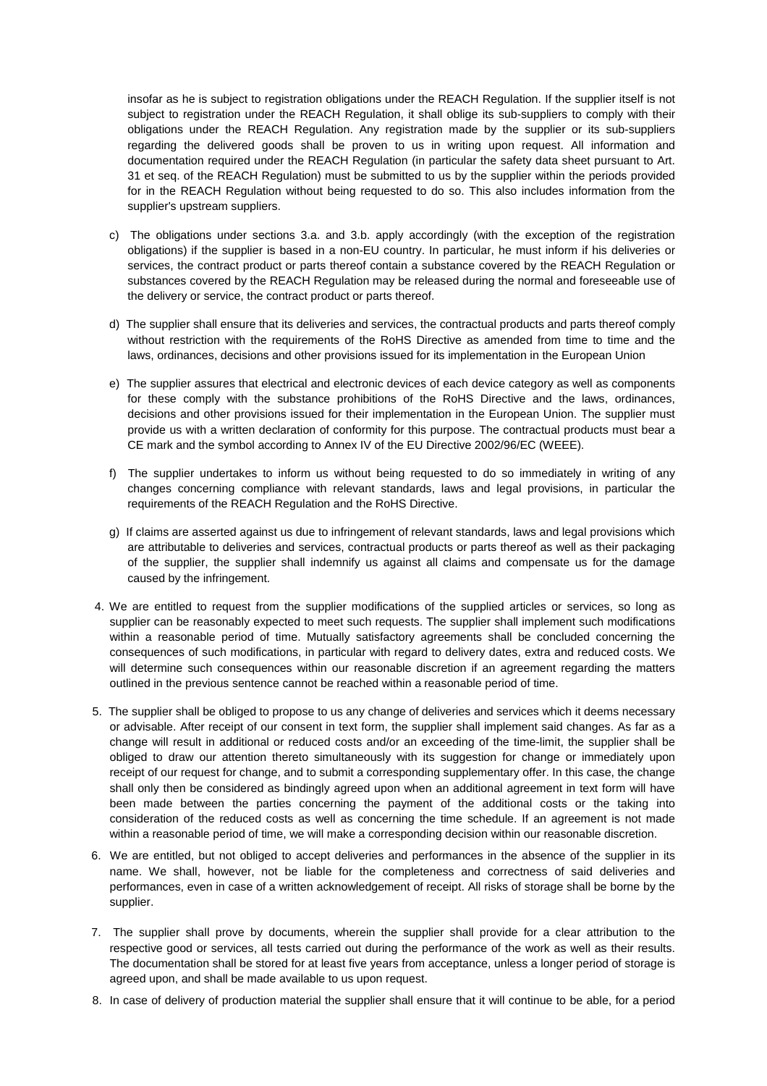insofar as he is subject to registration obligations under the REACH Regulation. If the supplier itself is not subject to registration under the REACH Regulation, it shall oblige its sub-suppliers to comply with their obligations under the REACH Regulation. Any registration made by the supplier or its sub-suppliers regarding the delivered goods shall be proven to us in writing upon request. All information and documentation required under the REACH Regulation (in particular the safety data sheet pursuant to Art. 31 et seq. of the REACH Regulation) must be submitted to us by the supplier within the periods provided for in the REACH Regulation without being requested to do so. This also includes information from the supplier's upstream suppliers.

- c) The obligations under sections 3.a. and 3.b. apply accordingly (with the exception of the registration obligations) if the supplier is based in a non-EU country. In particular, he must inform if his deliveries or services, the contract product or parts thereof contain a substance covered by the REACH Regulation or substances covered by the REACH Regulation may be released during the normal and foreseeable use of the delivery or service, the contract product or parts thereof.
- d) The supplier shall ensure that its deliveries and services, the contractual products and parts thereof comply without restriction with the requirements of the RoHS Directive as amended from time to time and the laws, ordinances, decisions and other provisions issued for its implementation in the European Union
- e) The supplier assures that electrical and electronic devices of each device category as well as components for these comply with the substance prohibitions of the RoHS Directive and the laws, ordinances, decisions and other provisions issued for their implementation in the European Union. The supplier must provide us with a written declaration of conformity for this purpose. The contractual products must bear a CE mark and the symbol according to Annex IV of the EU Directive 2002/96/EC (WEEE).
- f) The supplier undertakes to inform us without being requested to do so immediately in writing of any changes concerning compliance with relevant standards, laws and legal provisions, in particular the requirements of the REACH Regulation and the RoHS Directive.
- g) If claims are asserted against us due to infringement of relevant standards, laws and legal provisions which are attributable to deliveries and services, contractual products or parts thereof as well as their packaging of the supplier, the supplier shall indemnify us against all claims and compensate us for the damage caused by the infringement.
- 4. We are entitled to request from the supplier modifications of the supplied articles or services, so long as supplier can be reasonably expected to meet such requests. The supplier shall implement such modifications within a reasonable period of time. Mutually satisfactory agreements shall be concluded concerning the consequences of such modifications, in particular with regard to delivery dates, extra and reduced costs. We will determine such consequences within our reasonable discretion if an agreement regarding the matters outlined in the previous sentence cannot be reached within a reasonable period of time.
- 5. The supplier shall be obliged to propose to us any change of deliveries and services which it deems necessary or advisable. After receipt of our consent in text form, the supplier shall implement said changes. As far as a change will result in additional or reduced costs and/or an exceeding of the time-limit, the supplier shall be obliged to draw our attention thereto simultaneously with its suggestion for change or immediately upon receipt of our request for change, and to submit a corresponding supplementary offer. In this case, the change shall only then be considered as bindingly agreed upon when an additional agreement in text form will have been made between the parties concerning the payment of the additional costs or the taking into consideration of the reduced costs as well as concerning the time schedule. If an agreement is not made within a reasonable period of time, we will make a corresponding decision within our reasonable discretion.
- 6. We are entitled, but not obliged to accept deliveries and performances in the absence of the supplier in its name. We shall, however, not be liable for the completeness and correctness of said deliveries and performances, even in case of a written acknowledgement of receipt. All risks of storage shall be borne by the supplier.
- 7. The supplier shall prove by documents, wherein the supplier shall provide for a clear attribution to the respective good or services, all tests carried out during the performance of the work as well as their results. The documentation shall be stored for at least five years from acceptance, unless a longer period of storage is agreed upon, and shall be made available to us upon request.
- 8. In case of delivery of production material the supplier shall ensure that it will continue to be able, for a period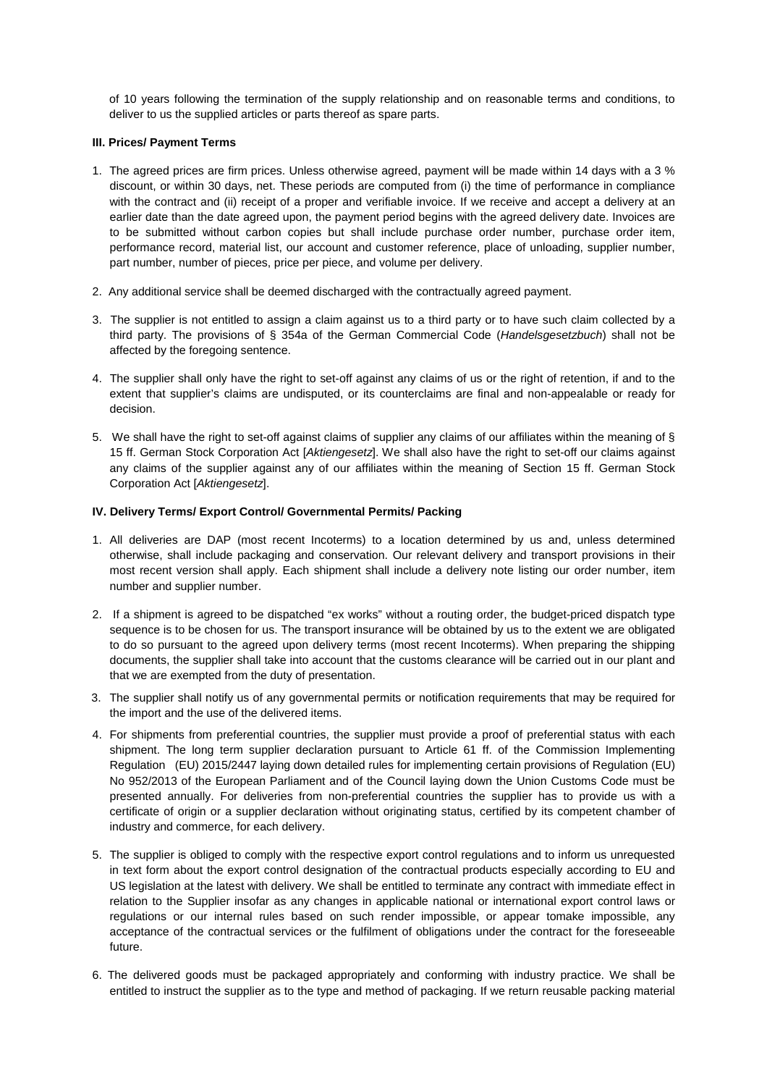of 10 years following the termination of the supply relationship and on reasonable terms and conditions, to deliver to us the supplied articles or parts thereof as spare parts.

## **III. Prices/ Payment Terms**

- 1. The agreed prices are firm prices. Unless otherwise agreed, payment will be made within 14 days with a 3 % discount, or within 30 days, net. These periods are computed from (i) the time of performance in compliance with the contract and (ii) receipt of a proper and verifiable invoice. If we receive and accept a delivery at an earlier date than the date agreed upon, the payment period begins with the agreed delivery date. Invoices are to be submitted without carbon copies but shall include purchase order number, purchase order item, performance record, material list, our account and customer reference, place of unloading, supplier number, part number, number of pieces, price per piece, and volume per delivery.
- 2. Any additional service shall be deemed discharged with the contractually agreed payment.
- 3. The supplier is not entitled to assign a claim against us to a third party or to have such claim collected by a third party. The provisions of § 354a of the German Commercial Code (Handelsgesetzbuch) shall not be affected by the foregoing sentence.
- 4. The supplier shall only have the right to set-off against any claims of us or the right of retention, if and to the extent that supplier's claims are undisputed, or its counterclaims are final and non-appealable or ready for decision.
- 5. We shall have the right to set-off against claims of supplier any claims of our affiliates within the meaning of § 15 ff. German Stock Corporation Act [Aktiengesetz]. We shall also have the right to set-off our claims against any claims of the supplier against any of our affiliates within the meaning of Section 15 ff. German Stock Corporation Act [Aktiengesetz].

# **IV. Delivery Terms/ Export Control/ Governmental Permits/ Packing**

- 1. All deliveries are DAP (most recent Incoterms) to a location determined by us and, unless determined otherwise, shall include packaging and conservation. Our relevant delivery and transport provisions in their most recent version shall apply. Each shipment shall include a delivery note listing our order number, item number and supplier number.
- 2. If a shipment is agreed to be dispatched "ex works" without a routing order, the budget-priced dispatch type sequence is to be chosen for us. The transport insurance will be obtained by us to the extent we are obligated to do so pursuant to the agreed upon delivery terms (most recent Incoterms). When preparing the shipping documents, the supplier shall take into account that the customs clearance will be carried out in our plant and that we are exempted from the duty of presentation.
- 3. The supplier shall notify us of any governmental permits or notification requirements that may be required for the import and the use of the delivered items.
- 4. For shipments from preferential countries, the supplier must provide a proof of preferential status with each shipment. The long term supplier declaration pursuant to Article 61 ff. of the Commission Implementing Regulation (EU) 2015/2447 laying down detailed rules for implementing certain provisions of Regulation (EU) No 952/2013 of the European Parliament and of the Council laying down the Union Customs Code must be presented annually. For deliveries from non-preferential countries the supplier has to provide us with a certificate of origin or a supplier declaration without originating status, certified by its competent chamber of industry and commerce, for each delivery.
- 5. The supplier is obliged to comply with the respective export control regulations and to inform us unrequested in text form about the export control designation of the contractual products especially according to EU and US legislation at the latest with delivery. We shall be entitled to terminate any contract with immediate effect in relation to the Supplier insofar as any changes in applicable national or international export control laws or regulations or our internal rules based on such render impossible, or appear tomake impossible, any acceptance of the contractual services or the fulfilment of obligations under the contract for the foreseeable future.
- 6. The delivered goods must be packaged appropriately and conforming with industry practice. We shall be entitled to instruct the supplier as to the type and method of packaging. If we return reusable packing material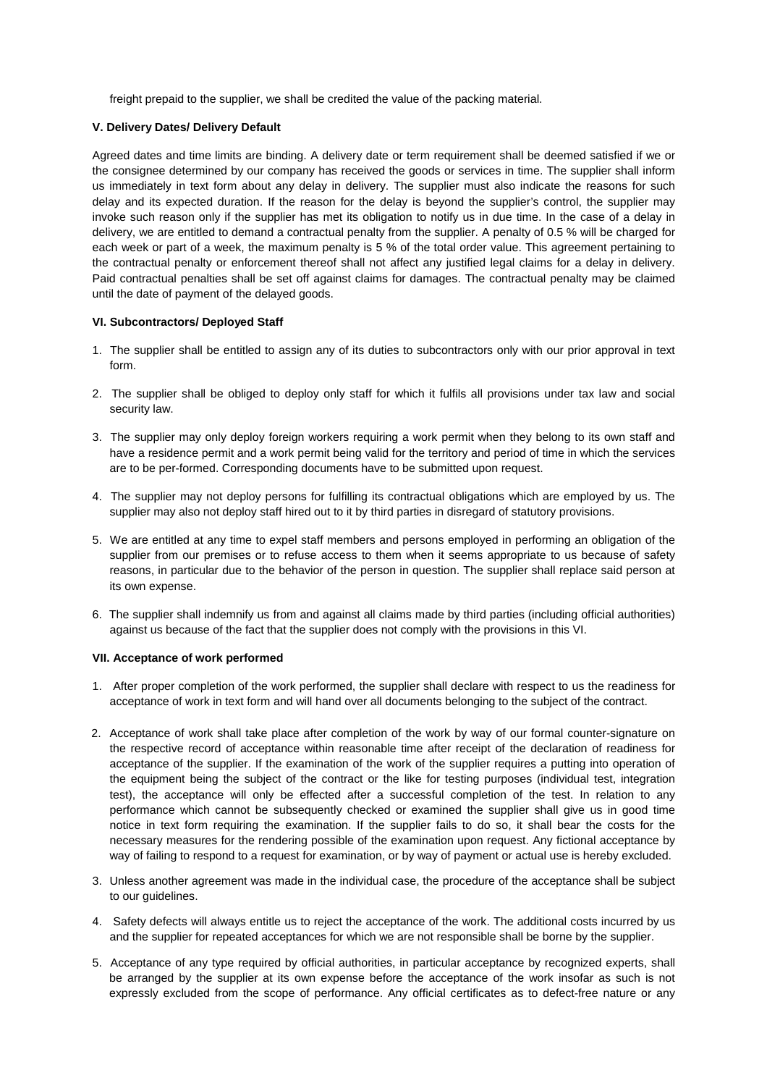freight prepaid to the supplier, we shall be credited the value of the packing material.

# **V. Delivery Dates/ Delivery Default**

Agreed dates and time limits are binding. A delivery date or term requirement shall be deemed satisfied if we or the consignee determined by our company has received the goods or services in time. The supplier shall inform us immediately in text form about any delay in delivery. The supplier must also indicate the reasons for such delay and its expected duration. If the reason for the delay is beyond the supplier's control, the supplier may invoke such reason only if the supplier has met its obligation to notify us in due time. In the case of a delay in delivery, we are entitled to demand a contractual penalty from the supplier. A penalty of 0.5 % will be charged for each week or part of a week, the maximum penalty is 5 % of the total order value. This agreement pertaining to the contractual penalty or enforcement thereof shall not affect any justified legal claims for a delay in delivery. Paid contractual penalties shall be set off against claims for damages. The contractual penalty may be claimed until the date of payment of the delayed goods.

# **VI. Subcontractors/ Deployed Staff**

- 1. The supplier shall be entitled to assign any of its duties to subcontractors only with our prior approval in text form.
- 2. The supplier shall be obliged to deploy only staff for which it fulfils all provisions under tax law and social security law.
- 3. The supplier may only deploy foreign workers requiring a work permit when they belong to its own staff and have a residence permit and a work permit being valid for the territory and period of time in which the services are to be per-formed. Corresponding documents have to be submitted upon request.
- 4. The supplier may not deploy persons for fulfilling its contractual obligations which are employed by us. The supplier may also not deploy staff hired out to it by third parties in disregard of statutory provisions.
- 5. We are entitled at any time to expel staff members and persons employed in performing an obligation of the supplier from our premises or to refuse access to them when it seems appropriate to us because of safety reasons, in particular due to the behavior of the person in question. The supplier shall replace said person at its own expense.
- 6. The supplier shall indemnify us from and against all claims made by third parties (including official authorities) against us because of the fact that the supplier does not comply with the provisions in this VI.

#### **VII. Acceptance of work performed**

- 1. After proper completion of the work performed, the supplier shall declare with respect to us the readiness for acceptance of work in text form and will hand over all documents belonging to the subject of the contract.
- 2. Acceptance of work shall take place after completion of the work by way of our formal counter-signature on the respective record of acceptance within reasonable time after receipt of the declaration of readiness for acceptance of the supplier. If the examination of the work of the supplier requires a putting into operation of the equipment being the subject of the contract or the like for testing purposes (individual test, integration test), the acceptance will only be effected after a successful completion of the test. In relation to any performance which cannot be subsequently checked or examined the supplier shall give us in good time notice in text form requiring the examination. If the supplier fails to do so, it shall bear the costs for the necessary measures for the rendering possible of the examination upon request. Any fictional acceptance by way of failing to respond to a request for examination, or by way of payment or actual use is hereby excluded.
- 3. Unless another agreement was made in the individual case, the procedure of the acceptance shall be subject to our guidelines.
- 4. Safety defects will always entitle us to reject the acceptance of the work. The additional costs incurred by us and the supplier for repeated acceptances for which we are not responsible shall be borne by the supplier.
- 5. Acceptance of any type required by official authorities, in particular acceptance by recognized experts, shall be arranged by the supplier at its own expense before the acceptance of the work insofar as such is not expressly excluded from the scope of performance. Any official certificates as to defect-free nature or any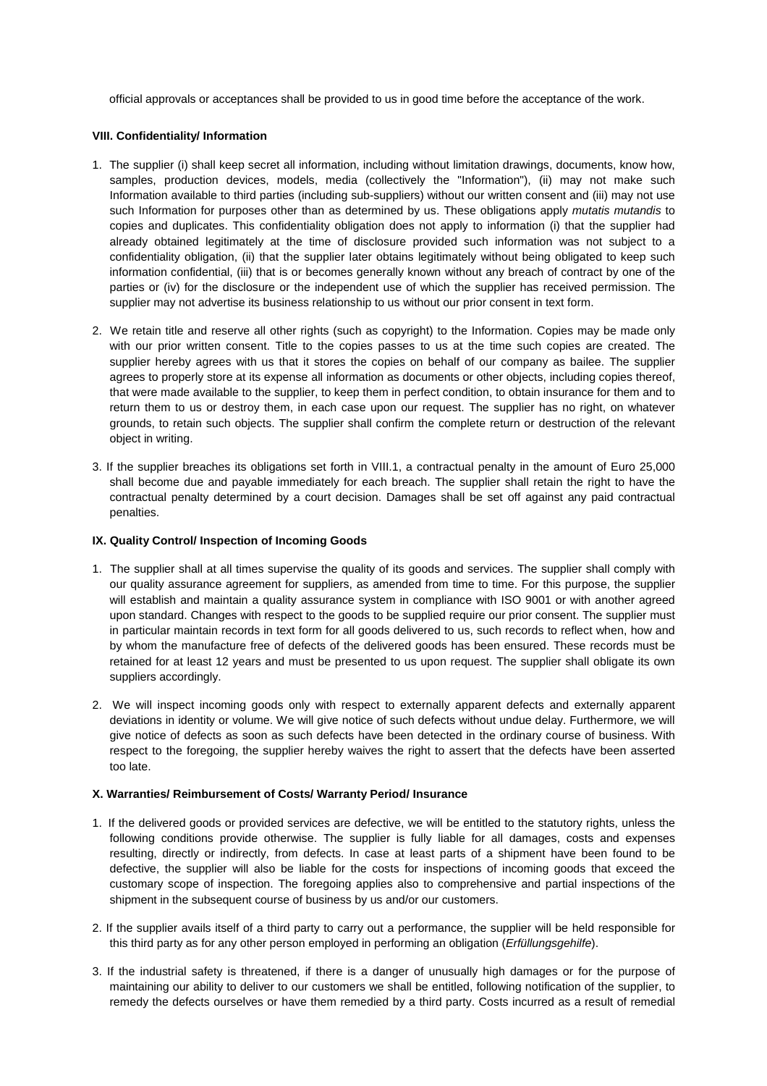official approvals or acceptances shall be provided to us in good time before the acceptance of the work.

### **VIII. Confidentiality/ Information**

- 1. The supplier (i) shall keep secret all information, including without limitation drawings, documents, know how, samples, production devices, models, media (collectively the "Information"), (ii) may not make such Information available to third parties (including sub-suppliers) without our written consent and (iii) may not use such Information for purposes other than as determined by us. These obligations apply mutatis mutandis to copies and duplicates. This confidentiality obligation does not apply to information (i) that the supplier had already obtained legitimately at the time of disclosure provided such information was not subject to a confidentiality obligation, (ii) that the supplier later obtains legitimately without being obligated to keep such information confidential, (iii) that is or becomes generally known without any breach of contract by one of the parties or (iv) for the disclosure or the independent use of which the supplier has received permission. The supplier may not advertise its business relationship to us without our prior consent in text form.
- 2. We retain title and reserve all other rights (such as copyright) to the Information. Copies may be made only with our prior written consent. Title to the copies passes to us at the time such copies are created. The supplier hereby agrees with us that it stores the copies on behalf of our company as bailee. The supplier agrees to properly store at its expense all information as documents or other objects, including copies thereof, that were made available to the supplier, to keep them in perfect condition, to obtain insurance for them and to return them to us or destroy them, in each case upon our request. The supplier has no right, on whatever grounds, to retain such objects. The supplier shall confirm the complete return or destruction of the relevant object in writing.
- 3. If the supplier breaches its obligations set forth in VIII.1, a contractual penalty in the amount of Euro 25,000 shall become due and payable immediately for each breach. The supplier shall retain the right to have the contractual penalty determined by a court decision. Damages shall be set off against any paid contractual penalties.

# **IX. Quality Control/ Inspection of Incoming Goods**

- 1. The supplier shall at all times supervise the quality of its goods and services. The supplier shall comply with our quality assurance agreement for suppliers, as amended from time to time. For this purpose, the supplier will establish and maintain a quality assurance system in compliance with ISO 9001 or with another agreed upon standard. Changes with respect to the goods to be supplied require our prior consent. The supplier must in particular maintain records in text form for all goods delivered to us, such records to reflect when, how and by whom the manufacture free of defects of the delivered goods has been ensured. These records must be retained for at least 12 years and must be presented to us upon request. The supplier shall obligate its own suppliers accordingly.
- 2. We will inspect incoming goods only with respect to externally apparent defects and externally apparent deviations in identity or volume. We will give notice of such defects without undue delay. Furthermore, we will give notice of defects as soon as such defects have been detected in the ordinary course of business. With respect to the foregoing, the supplier hereby waives the right to assert that the defects have been asserted too late.

#### **X. Warranties/ Reimbursement of Costs/ Warranty Period/ Insurance**

- 1. If the delivered goods or provided services are defective, we will be entitled to the statutory rights, unless the following conditions provide otherwise. The supplier is fully liable for all damages, costs and expenses resulting, directly or indirectly, from defects. In case at least parts of a shipment have been found to be defective, the supplier will also be liable for the costs for inspections of incoming goods that exceed the customary scope of inspection. The foregoing applies also to comprehensive and partial inspections of the shipment in the subsequent course of business by us and/or our customers.
- 2. If the supplier avails itself of a third party to carry out a performance, the supplier will be held responsible for this third party as for any other person employed in performing an obligation (*Erfüllungsgehilfe*).
- 3. If the industrial safety is threatened, if there is a danger of unusually high damages or for the purpose of maintaining our ability to deliver to our customers we shall be entitled, following notification of the supplier, to remedy the defects ourselves or have them remedied by a third party. Costs incurred as a result of remedial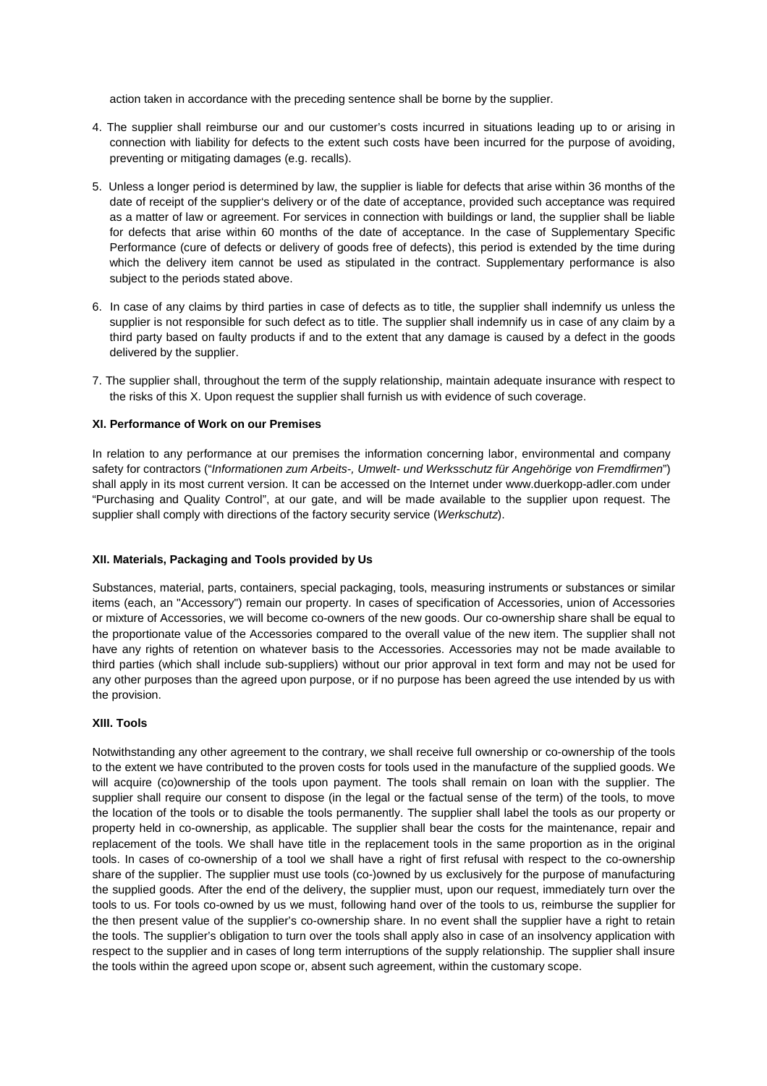action taken in accordance with the preceding sentence shall be borne by the supplier.

- 4. The supplier shall reimburse our and our customer's costs incurred in situations leading up to or arising in connection with liability for defects to the extent such costs have been incurred for the purpose of avoiding, preventing or mitigating damages (e.g. recalls).
- 5. Unless a longer period is determined by law, the supplier is liable for defects that arise within 36 months of the date of receipt of the supplier's delivery or of the date of acceptance, provided such acceptance was required as a matter of law or agreement. For services in connection with buildings or land, the supplier shall be liable for defects that arise within 60 months of the date of acceptance. In the case of Supplementary Specific Performance (cure of defects or delivery of goods free of defects), this period is extended by the time during which the delivery item cannot be used as stipulated in the contract. Supplementary performance is also subject to the periods stated above.
- 6. In case of any claims by third parties in case of defects as to title, the supplier shall indemnify us unless the supplier is not responsible for such defect as to title. The supplier shall indemnify us in case of any claim by a third party based on faulty products if and to the extent that any damage is caused by a defect in the goods delivered by the supplier.
- 7. The supplier shall, throughout the term of the supply relationship, maintain adequate insurance with respect to the risks of this X. Upon request the supplier shall furnish us with evidence of such coverage.

# **XI. Performance of Work on our Premises**

In relation to any performance at our premises the information concerning labor, environmental and company safety for contractors ("Informationen zum Arbeits-, Umwelt- und Werksschutz für Angehörige von Fremdfirmen") shall apply in its most current version. It can be accessed on the Internet under www.duerkopp-adler.com under "Purchasing and Quality Control", at our gate, and will be made available to the supplier upon request. The supplier shall comply with directions of the factory security service (Werkschutz).

# **XII. Materials, Packaging and Tools provided by Us**

Substances, material, parts, containers, special packaging, tools, measuring instruments or substances or similar items (each, an "Accessory") remain our property. In cases of specification of Accessories, union of Accessories or mixture of Accessories, we will become co-owners of the new goods. Our co-ownership share shall be equal to the proportionate value of the Accessories compared to the overall value of the new item. The supplier shall not have any rights of retention on whatever basis to the Accessories. Accessories may not be made available to third parties (which shall include sub-suppliers) without our prior approval in text form and may not be used for any other purposes than the agreed upon purpose, or if no purpose has been agreed the use intended by us with the provision.

# **XIII. Tools**

Notwithstanding any other agreement to the contrary, we shall receive full ownership or co-ownership of the tools to the extent we have contributed to the proven costs for tools used in the manufacture of the supplied goods. We will acquire (co)ownership of the tools upon payment. The tools shall remain on loan with the supplier. The supplier shall require our consent to dispose (in the legal or the factual sense of the term) of the tools, to move the location of the tools or to disable the tools permanently. The supplier shall label the tools as our property or property held in co-ownership, as applicable. The supplier shall bear the costs for the maintenance, repair and replacement of the tools. We shall have title in the replacement tools in the same proportion as in the original tools. In cases of co-ownership of a tool we shall have a right of first refusal with respect to the co-ownership share of the supplier. The supplier must use tools (co-)owned by us exclusively for the purpose of manufacturing the supplied goods. After the end of the delivery, the supplier must, upon our request, immediately turn over the tools to us. For tools co-owned by us we must, following hand over of the tools to us, reimburse the supplier for the then present value of the supplier's co-ownership share. In no event shall the supplier have a right to retain the tools. The supplier's obligation to turn over the tools shall apply also in case of an insolvency application with respect to the supplier and in cases of long term interruptions of the supply relationship. The supplier shall insure the tools within the agreed upon scope or, absent such agreement, within the customary scope.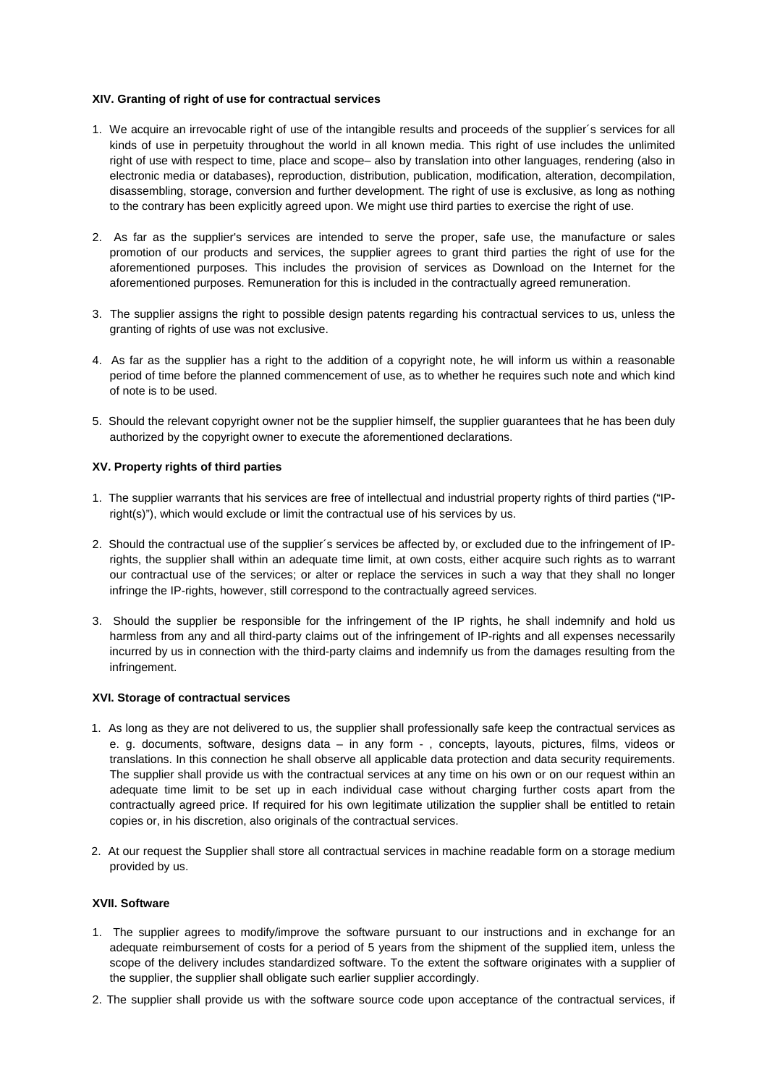### **XIV. Granting of right of use for contractual services**

- 1. We acquire an irrevocable right of use of the intangible results and proceeds of the supplier´s services for all kinds of use in perpetuity throughout the world in all known media. This right of use includes the unlimited right of use with respect to time, place and scope– also by translation into other languages, rendering (also in electronic media or databases), reproduction, distribution, publication, modification, alteration, decompilation, disassembling, storage, conversion and further development. The right of use is exclusive, as long as nothing to the contrary has been explicitly agreed upon. We might use third parties to exercise the right of use.
- 2. As far as the supplier's services are intended to serve the proper, safe use, the manufacture or sales promotion of our products and services, the supplier agrees to grant third parties the right of use for the aforementioned purposes. This includes the provision of services as Download on the Internet for the aforementioned purposes. Remuneration for this is included in the contractually agreed remuneration.
- 3. The supplier assigns the right to possible design patents regarding his contractual services to us, unless the granting of rights of use was not exclusive.
- 4. As far as the supplier has a right to the addition of a copyright note, he will inform us within a reasonable period of time before the planned commencement of use, as to whether he requires such note and which kind of note is to be used.
- 5. Should the relevant copyright owner not be the supplier himself, the supplier guarantees that he has been duly authorized by the copyright owner to execute the aforementioned declarations.

# **XV. Property rights of third parties**

- 1. The supplier warrants that his services are free of intellectual and industrial property rights of third parties ("IPright(s)"), which would exclude or limit the contractual use of his services by us.
- 2. Should the contractual use of the supplier´s services be affected by, or excluded due to the infringement of IPrights, the supplier shall within an adequate time limit, at own costs, either acquire such rights as to warrant our contractual use of the services; or alter or replace the services in such a way that they shall no longer infringe the IP-rights, however, still correspond to the contractually agreed services.
- 3. Should the supplier be responsible for the infringement of the IP rights, he shall indemnify and hold us harmless from any and all third-party claims out of the infringement of IP-rights and all expenses necessarily incurred by us in connection with the third-party claims and indemnify us from the damages resulting from the infringement.

### **XVI. Storage of contractual services**

- 1. As long as they are not delivered to us, the supplier shall professionally safe keep the contractual services as e. g. documents, software, designs data – in any form - , concepts, layouts, pictures, films, videos or translations. In this connection he shall observe all applicable data protection and data security requirements. The supplier shall provide us with the contractual services at any time on his own or on our request within an adequate time limit to be set up in each individual case without charging further costs apart from the contractually agreed price. If required for his own legitimate utilization the supplier shall be entitled to retain copies or, in his discretion, also originals of the contractual services.
- 2. At our request the Supplier shall store all contractual services in machine readable form on a storage medium provided by us.

# **XVII. Software**

- 1. The supplier agrees to modify/improve the software pursuant to our instructions and in exchange for an adequate reimbursement of costs for a period of 5 years from the shipment of the supplied item, unless the scope of the delivery includes standardized software. To the extent the software originates with a supplier of the supplier, the supplier shall obligate such earlier supplier accordingly.
- 2. The supplier shall provide us with the software source code upon acceptance of the contractual services, if